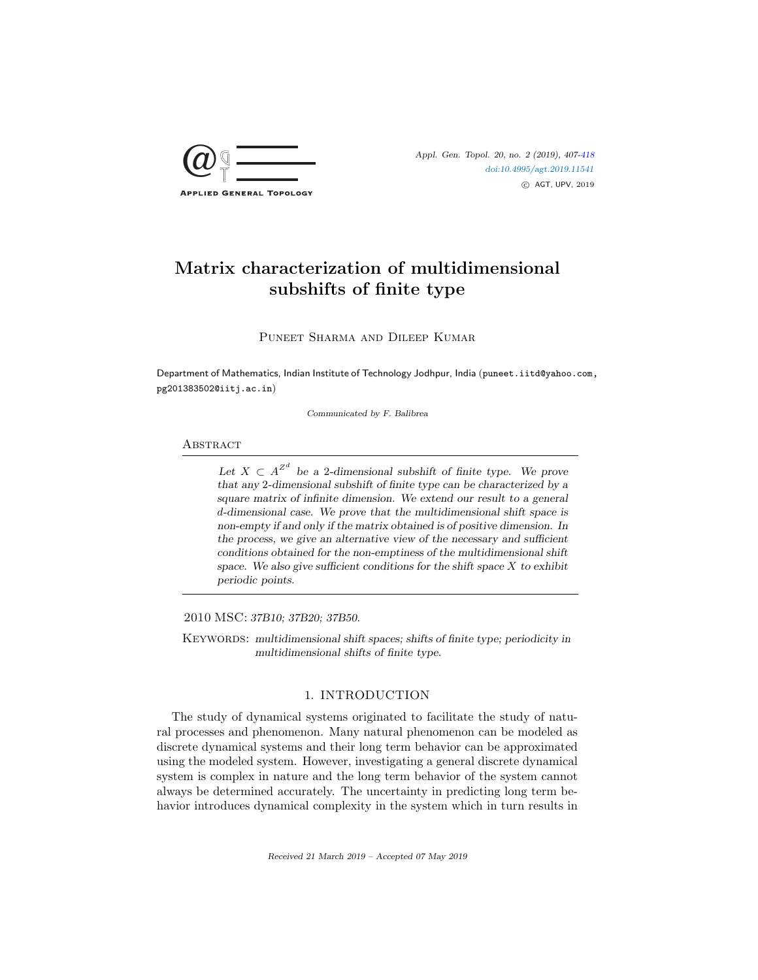

# Matrix characterization of multidimensional subshifts of finite type

Puneet Sharma and Dileep Kumar

Department of Mathematics, Indian Institute of Technology Jodhpur, India (puneet.iitd@yahoo.com, pg201383502@iitj.ac.in)

Communicated by F. Balibrea

## **ABSTRACT**

Let  $X \subset A^{\mathbb{Z}^d}$  be a 2-dimensional subshift of finite type. We prove that any 2-dimensional subshift of finite type can be characterized by a square matrix of infinite dimension. We extend our result to a general d-dimensional case. We prove that the multidimensional shift space is non-empty if and only if the matrix obtained is of positive dimension. In the process, we give an alternative view of the necessary and sufficient conditions obtained for the non-emptiness of the multidimensional shift space. We also give sufficient conditions for the shift space  $X$  to exhibit periodic points.

2010 MSC: 37B10; 37B20; 37B50.

KEYWORDS: multidimensional shift spaces; shifts of finite type; periodicity in multidimensional shifts of finite type.

## 1. INTRODUCTION

The study of dynamical systems originated to facilitate the study of natural processes and phenomenon. Many natural phenomenon can be modeled as discrete dynamical systems and their long term behavior can be approximated using the modeled system. However, investigating a general discrete dynamical system is complex in nature and the long term behavior of the system cannot always be determined accurately. The uncertainty in predicting long term behavior introduces dynamical complexity in the system which in turn results in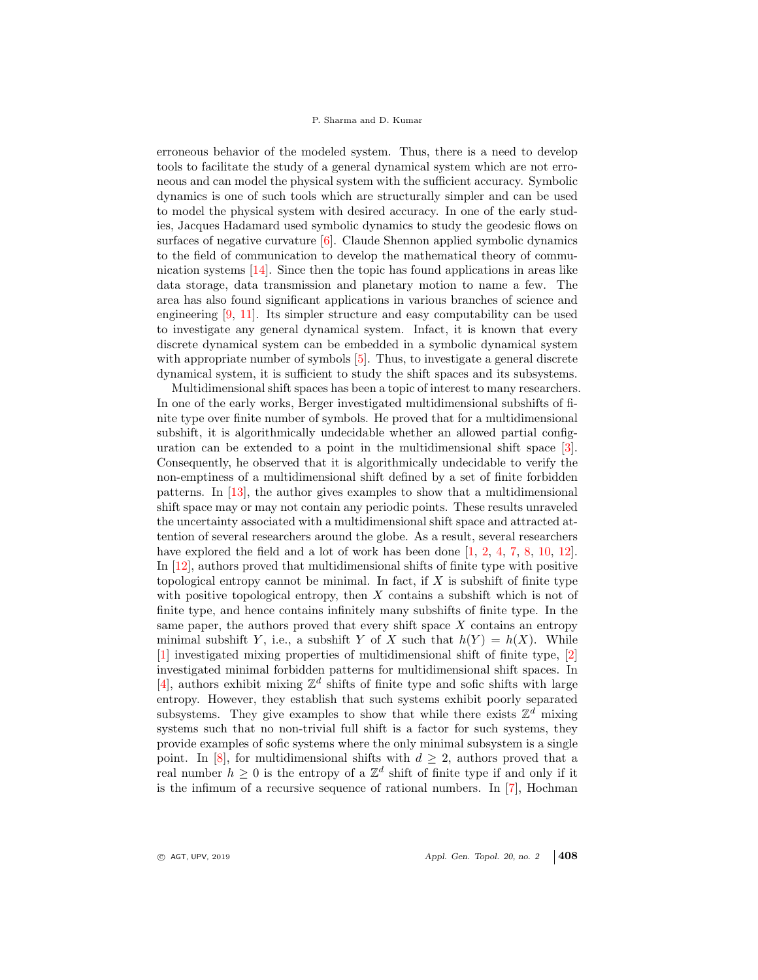erroneous behavior of the modeled system. Thus, there is a need to develop tools to facilitate the study of a general dynamical system which are not erroneous and can model the physical system with the sufficient accuracy. Symbolic dynamics is one of such tools which are structurally simpler and can be used to model the physical system with desired accuracy. In one of the early studies, Jacques Hadamard used symbolic dynamics to study the geodesic flows on surfaces of negative curvature  $[6]$ . Claude Shennon applied symbolic dynamics to the field of communication to develop the mathematical theory of communication systems [14]. Since then the topic has found applications in areas like data storage, data transmission and planetary motion to name a few. The area has also found significant applications in various branches of science and engineering [9, 11]. Its simpler structure and easy computability can be used to investigate any general dynamical system. Infact, it is known that every discrete dynamical system can be embedded in a symbolic dynamical system with appropriate number of symbols  $[5]$ . Thus, to investigate a general discrete dynamical system, it is sufficient to study the shift spaces and its subsystems.

Multidimensional shift spaces has been a topic of interest to many researchers. In one of the early works, Berger investigated multidimensional subshifts of finite type over finite number of symbols. He proved that for a multidimensional subshift, it is algorithmically undecidable whether an allowed partial configuration can be extended to a point in the multidimensional shift space [3]. Consequently, he observed that it is algorithmically undecidable to verify the non-emptiness of a multidimensional shift defined by a set of finite forbidden patterns. In [13], the author gives examples to show that a multidimensional shift space may or may not contain any periodic points. These results unraveled the uncertainty associated with a multidimensional shift space and attracted attention of several researchers around the globe. As a result, several researchers have explored the field and a lot of work has been done [1, 2, 4, 7, 8, 10, 12]. In [12], authors proved that multidimensional shifts of finite type with positive topological entropy cannot be minimal. In fact, if  $X$  is subshift of finite type with positive topological entropy, then  $X$  contains a subshift which is not of finite type, and hence contains infinitely many subshifts of finite type. In the same paper, the authors proved that every shift space  $X$  contains an entropy minimal subshift Y, i.e., a subshift Y of X such that  $h(Y) = h(X)$ . While [1] investigated mixing properties of multidimensional shift of finite type, [2] investigated minimal forbidden patterns for multidimensional shift spaces. In [4], authors exhibit mixing  $\mathbb{Z}^d$  shifts of finite type and sofic shifts with large entropy. However, they establish that such systems exhibit poorly separated subsystems. They give examples to show that while there exists  $\mathbb{Z}^d$  mixing systems such that no non-trivial full shift is a factor for such systems, they provide examples of sofic systems where the only minimal subsystem is a single point. In [8], for multidimensional shifts with  $d \geq 2$ , authors proved that a real number  $h \geq 0$  is the entropy of a  $\mathbb{Z}^d$  shift of finite type if and only if it is the infimum of a recursive sequence of rational numbers. In [7], Hochman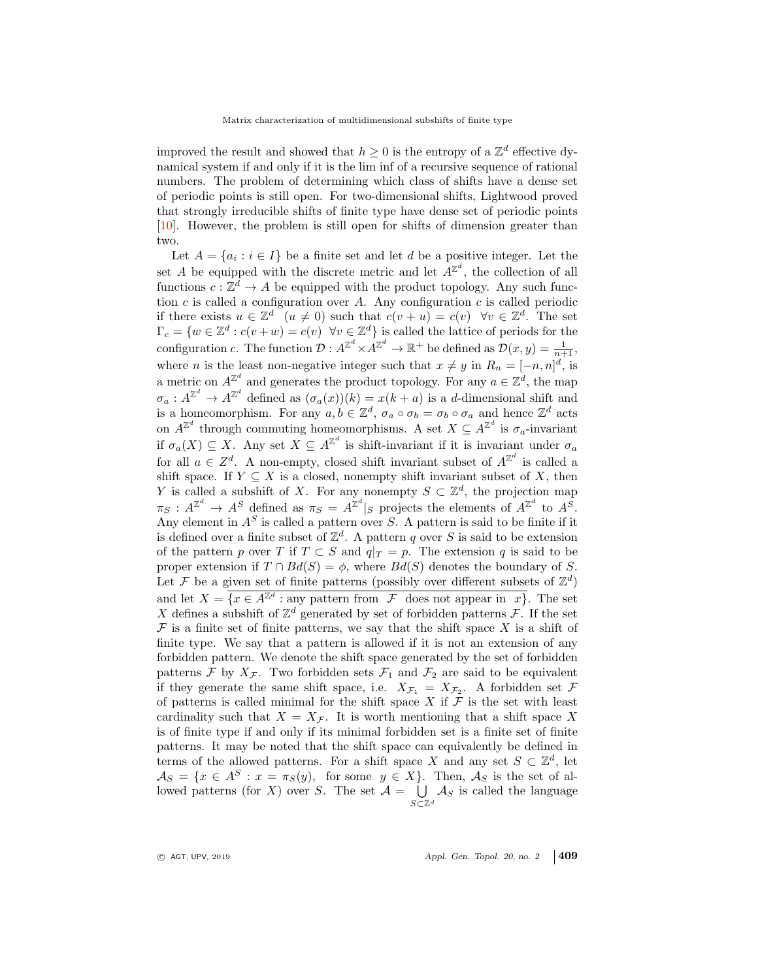improved the result and showed that  $h \geq 0$  is the entropy of a  $\mathbb{Z}^d$  effective dynamical system if and only if it is the lim inf of a recursive sequence of rational numbers. The problem of determining which class of shifts have a dense set of periodic points is still open. For two-dimensional shifts, Lightwood proved that strongly irreducible shifts of finite type have dense set of periodic points [10]. However, the problem is still open for shifts of dimension greater than two.

Let  $A = \{a_i : i \in I\}$  be a finite set and let d be a positive integer. Let the set A be equipped with the discrete metric and let  $A^{\mathbb{Z}^d}$ , the collection of all functions  $c: \mathbb{Z}^d \to A$  be equipped with the product topology. Any such function c is called a configuration over A. Any configuration c is called periodic if there exists  $u \in \mathbb{Z}^d$   $(u \neq 0)$  such that  $c(v + u) = c(v) \quad \forall v \in \mathbb{Z}^d$ . The set  $\Gamma_c = \{w \in \mathbb{Z}^d : c(v+w) = c(v) \ \forall v \in \mathbb{Z}^d\}$  is called the lattice of periods for the configuration c. The function  $\mathcal{D}: A^{\mathbb{Z}^d}\times A^{\mathbb{Z}^d}\to \mathbb{R}^+$  be defined as  $\mathcal{D}(x, y) = \frac{1}{n+1}$ , where *n* is the least non-negative integer such that  $x \neq y$  in  $R_n = [-n, n]^d$ , is a metric on  $A^{\mathbb{Z}^d}$  and generates the product topology. For any  $a \in \mathbb{Z}^d$ , the map  $\sigma_a: A^{\mathbb{Z}^d}\to A^{\mathbb{Z}^d}$  defined as  $(\sigma_a(x))(k)=x(k+a)$  is a d-dimensional shift and is a homeomorphism. For any  $a, b \in \mathbb{Z}^d$ ,  $\sigma_a \circ \sigma_b = \sigma_b \circ \sigma_a$  and hence  $\mathbb{Z}^d$  acts on  $A^{\mathbb{Z}^d}$  through commuting homeomorphisms. A set  $X \subseteq A^{\mathbb{Z}^d}$  is  $\sigma_a$ -invariant if  $\sigma_a(X) \subseteq X$ . Any set  $X \subseteq A^{\mathbb{Z}^d}$  is shift-invariant if it is invariant under  $\sigma_a$ for all  $a \in \mathbb{Z}^d$ . A non-empty, closed shift invariant subset of  $A^{\mathbb{Z}^d}$  is called a shift space. If  $Y \subseteq X$  is a closed, nonempty shift invariant subset of X, then Y is called a subshift of X. For any nonempty  $S \subset \mathbb{Z}^d$ , the projection map  $\pi_S : A^{\mathbb{Z}^d} \to A^S$  defined as  $\pi_S = A^{\mathbb{Z}^d}|_S$  projects the elements of  $A^{\mathbb{Z}^d}$  to  $A^S$ . Any element in  $A<sup>S</sup>$  is called a pattern over S. A pattern is said to be finite if it is defined over a finite subset of  $\mathbb{Z}^d$ . A pattern q over S is said to be extension of the pattern p over T if  $T \subset S$  and  $q|_T = p$ . The extension q is said to be proper extension if  $T \cap Bd(S) = \phi$ , where  $Bd(S)$  denotes the boundary of S. Let F be a given set of finite patterns (possibly over different subsets of  $\mathbb{Z}^d$ ) and let  $X = \{x \in A^{\mathbb{Z}^d} : \text{any pattern from } \mathcal{F} \text{ does not appear in } x\}.$  The set X defines a subshift of  $\mathbb{Z}^d$  generated by set of forbidden patterns  $\mathcal{F}$ . If the set  $\mathcal F$  is a finite set of finite patterns, we say that the shift space  $X$  is a shift of finite type. We say that a pattern is allowed if it is not an extension of any forbidden pattern. We denote the shift space generated by the set of forbidden patterns  $\mathcal F$  by  $X_{\mathcal F}$ . Two forbidden sets  $\mathcal F_1$  and  $\mathcal F_2$  are said to be equivalent if they generate the same shift space, i.e.  $X_{\mathcal{F}_1} = X_{\mathcal{F}_2}$ . A forbidden set  $\mathcal F$ of patterns is called minimal for the shift space X if  $\mathcal F$  is the set with least cardinality such that  $X = X_{\mathcal{F}}$ . It is worth mentioning that a shift space X is of finite type if and only if its minimal forbidden set is a finite set of finite patterns. It may be noted that the shift space can equivalently be defined in terms of the allowed patterns. For a shift space X and any set  $S \subset \mathbb{Z}^d$ , let  $\mathcal{A}_S = \{x \in A^S : x = \pi_S(y), \text{ for some } y \in X\}.$  Then,  $\mathcal{A}_S$  is the set of allowed patterns (for X) over S. The set  $\mathcal{A} = \bigcup$ S⊂Z<sup>d</sup>  $A_S$  is called the language

 $\circ$  AGT, UPV, 2019  $\circ$  Appl. Gen. Topol. 20, no. 2 409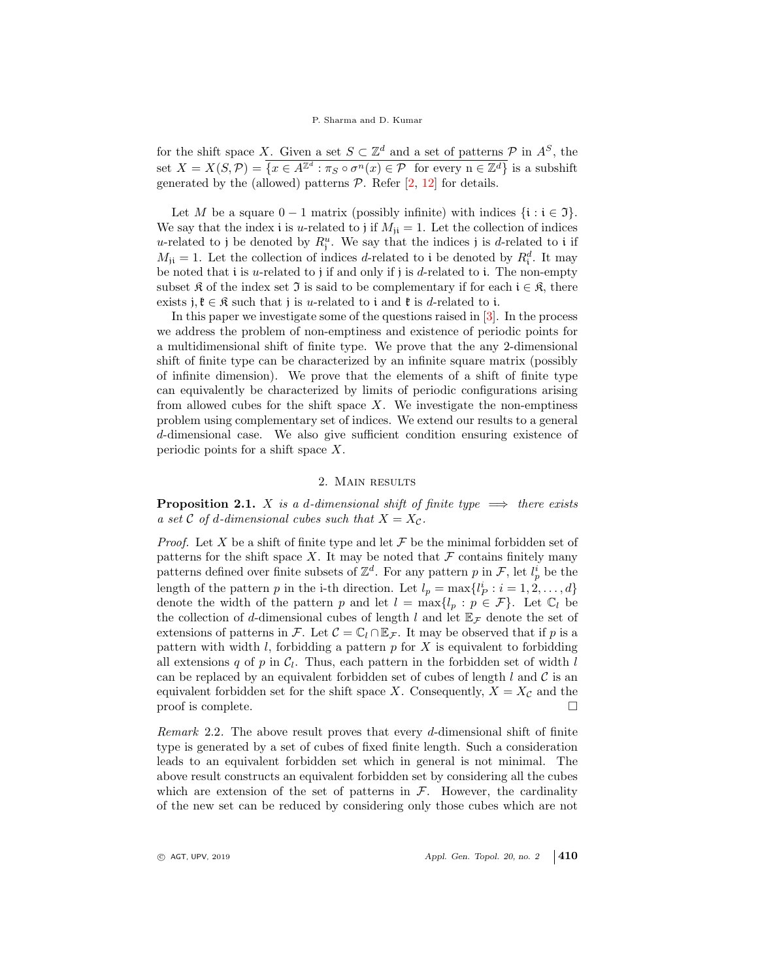## P. Sharma and D. Kumar

for the shift space X. Given a set  $S \subset \mathbb{Z}^d$  and a set of patterns  $P$  in  $A^S$ , the set  $X = X(S, \mathcal{P}) = \overline{\{x \in A^{\mathbb{Z}^d} : \pi_S \circ \sigma^n(x) \in \mathcal{P} \text{ for every } n \in \mathbb{Z}^d\}}$  is a subshift generated by the (allowed) patterns  $P$ . Refer  $[2, 12]$  for details.

Let M be a square  $0 - 1$  matrix (possibly infinite) with indices  $\{i : i \in \mathfrak{I}\}.$ We say that the index i is u-related to j if  $M_{ii} = 1$ . Let the collection of indices u-related to j be denoted by  $R_j^u$ . We say that the indices j is d-related to i if  $M_{ji} = 1$ . Let the collection of indices d-related to i be denoted by  $R_i^d$ . It may be noted that i is u-related to j if and only if j is d-related to i. The non-empty subset R of the index set J is said to be complementary if for each  $i \in \mathcal{R}$ , there exists j,  $\mathfrak{k} \in \mathfrak{K}$  such that j is *u*-related to i and  $\mathfrak{k}$  is *d*-related to i.

In this paper we investigate some of the questions raised in [3]. In the process we address the problem of non-emptiness and existence of periodic points for a multidimensional shift of finite type. We prove that the any 2-dimensional shift of finite type can be characterized by an infinite square matrix (possibly of infinite dimension). We prove that the elements of a shift of finite type can equivalently be characterized by limits of periodic configurations arising from allowed cubes for the shift space  $X$ . We investigate the non-emptiness problem using complementary set of indices. We extend our results to a general d-dimensional case. We also give sufficient condition ensuring existence of periodic points for a shift space X.

## 2. Main results

**Proposition 2.1.** X is a d-dimensional shift of finite type  $\implies$  there exists a set C of d-dimensional cubes such that  $X = X_{\mathcal{C}}$ .

*Proof.* Let X be a shift of finite type and let  $\mathcal F$  be the minimal forbidden set of patterns for the shift space  $X$ . It may be noted that  $\mathcal F$  contains finitely many patterns defined over finite subsets of  $\mathbb{Z}^d$ . For any pattern p in F, let  $l_p^i$  be the length of the pattern p in the i-th direction. Let  $l_p = \max\{l_p^i : i = 1, 2, ..., d\}$ denote the width of the pattern p and let  $l = \max\{l_p : p \in \mathcal{F}\}\$ . Let  $\mathbb{C}_l$  be the collection of d-dimensional cubes of length l and let  $\mathbb{E}_{\mathcal{F}}$  denote the set of extensions of patterns in F. Let  $\mathcal{C} = \mathbb{C}_l \cap \mathbb{E}_{\mathcal{F}}$ . It may be observed that if p is a pattern with width  $l$ , forbidding a pattern  $p$  for  $X$  is equivalent to forbidding all extensions q of p in  $C_l$ . Thus, each pattern in the forbidden set of width l can be replaced by an equivalent forbidden set of cubes of length  $l$  and  $\mathcal C$  is an equivalent forbidden set for the shift space X. Consequently,  $X = X_{\mathcal{C}}$  and the proof is complete.

Remark 2.2. The above result proves that every d-dimensional shift of finite type is generated by a set of cubes of fixed finite length. Such a consideration leads to an equivalent forbidden set which in general is not minimal. The above result constructs an equivalent forbidden set by considering all the cubes which are extension of the set of patterns in  $\mathcal{F}$ . However, the cardinality of the new set can be reduced by considering only those cubes which are not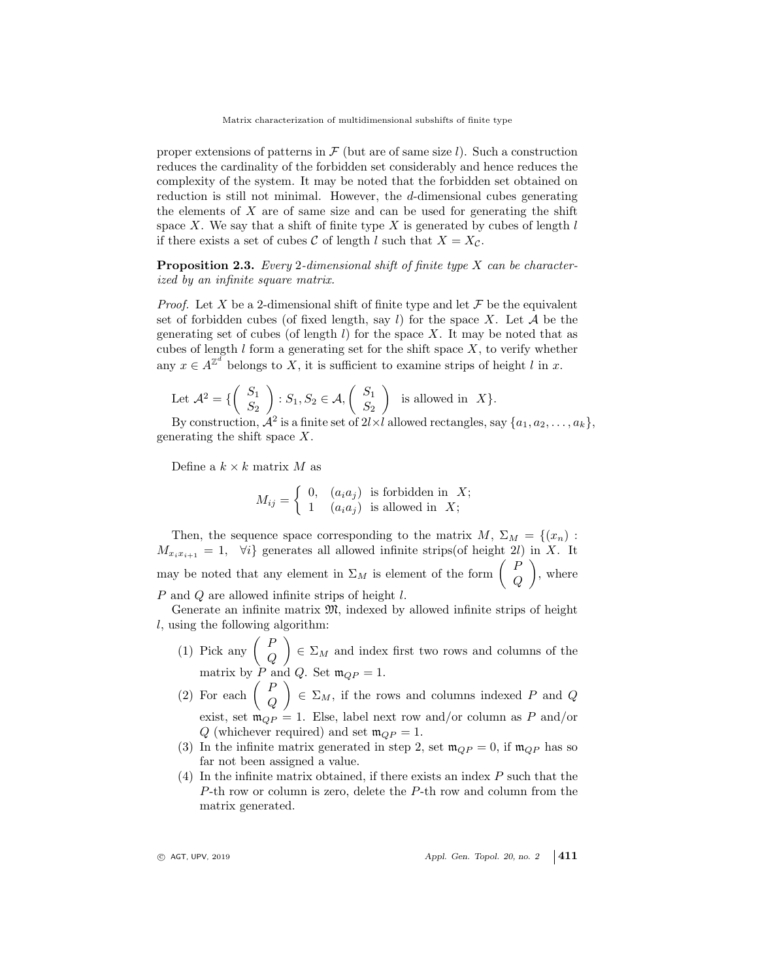proper extensions of patterns in  $\mathcal F$  (but are of same size l). Such a construction reduces the cardinality of the forbidden set considerably and hence reduces the complexity of the system. It may be noted that the forbidden set obtained on reduction is still not minimal. However, the d-dimensional cubes generating the elements of  $X$  are of same size and can be used for generating the shift space X. We say that a shift of finite type  $X$  is generated by cubes of length  $l$ if there exists a set of cubes C of length l such that  $X = X_{\mathcal{C}}$ .

**Proposition 2.3.** Every 2-dimensional shift of finite type  $X$  can be characterized by an infinite square matrix.

*Proof.* Let X be a 2-dimensional shift of finite type and let  $\mathcal F$  be the equivalent set of forbidden cubes (of fixed length, say l) for the space X. Let  $A$  be the generating set of cubes (of length  $l$ ) for the space X. It may be noted that as cubes of length  $l$  form a generating set for the shift space  $X$ , to verify whether any  $x \in A^{\mathbb{Z}^d}$  belongs to X, it is sufficient to examine strips of height l in x.

Let 
$$
\mathcal{A}^2 = \{ \begin{pmatrix} S_1 \\ S_2 \end{pmatrix} : S_1, S_2 \in \mathcal{A}, \begin{pmatrix} S_1 \\ S_2 \end{pmatrix} \}
$$
 is allowed in X}.

By construction,  $\mathcal{A}^2$  is a finite set of  $2l \times l$  allowed rectangles, say  $\{a_1, a_2, \ldots, a_k\}$ , generating the shift space X.

Define a  $k \times k$  matrix M as

$$
M_{ij} = \begin{cases} 0, & (a_i a_j) \text{ is forbidden in } X; \\ 1 & (a_i a_j) \text{ is allowed in } X; \end{cases}
$$

Then, the sequence space corresponding to the matrix  $M, \Sigma_M = \{(x_n) :$  $M_{x_ix_{i+1}} = 1$ ,  $\forall i$  generates all allowed infinite strips(of height 2l) in X. It may be noted that any element in  $\Sigma_M$  is element of the form  $\begin{pmatrix} P \\ C \end{pmatrix}$  $\overline{Q}$  $\Big)$ , where P and Q are allowed infinite strips of height l.

Generate an infinite matrix  $\mathfrak{M}$ , indexed by allowed infinite strips of height l, using the following algorithm:

- (1) Pick any  $\begin{pmatrix} P \\ C \end{pmatrix}$  $\it{Q}$  $\Big) \in \Sigma_M$  and index first two rows and columns of the matrix by P and Q. Set  $\mathfrak{m}_{QP} = 1$ .
- (2) For each  $\begin{pmatrix} P \\ C \end{pmatrix}$  $\it{Q}$  $\Big) \in \Sigma_M$ , if the rows and columns indexed P and Q exist, set  $\mathfrak{m}_{QP} = 1$ . Else, label next row and/or column as P and/or Q (whichever required) and set  $\mathfrak{m}_{QP} = 1$ .
- (3) In the infinite matrix generated in step 2, set  $\mathfrak{m}_{QP} = 0$ , if  $\mathfrak{m}_{QP}$  has so far not been assigned a value.
- (4) In the infinite matrix obtained, if there exists an index  $P$  such that the P-th row or column is zero, delete the P-th row and column from the matrix generated.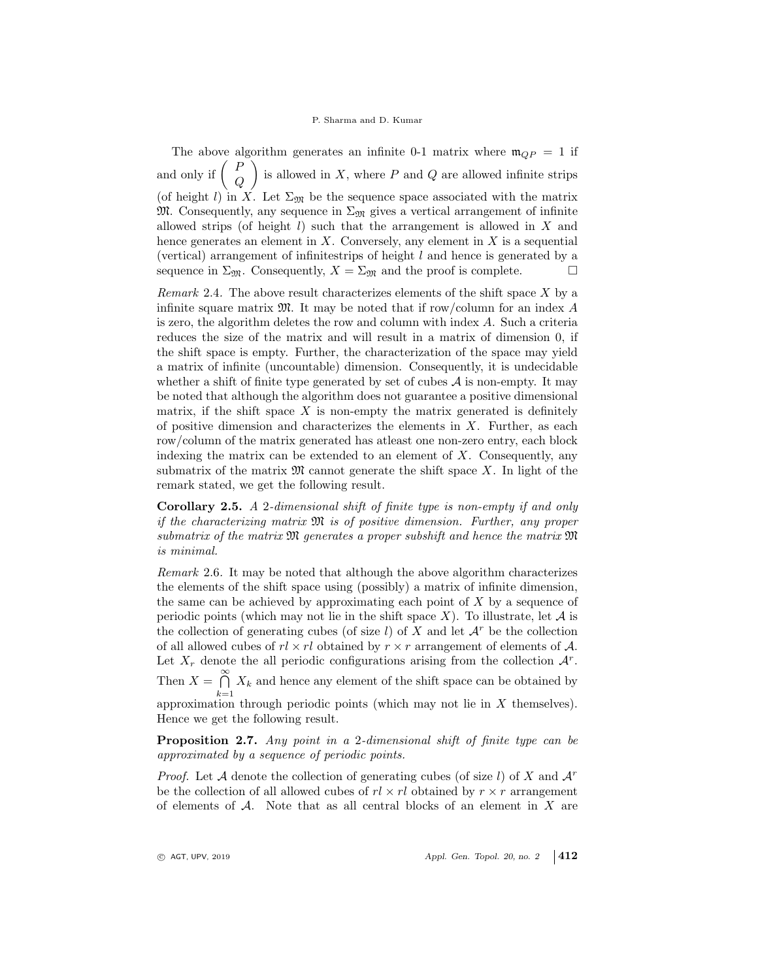The above algorithm generates an infinite 0-1 matrix where  $\mathfrak{m}_{OP} = 1$  if and only if  $\begin{pmatrix} P \\ C \end{pmatrix}$  $\it{Q}$ is allowed in X, where  $P$  and  $Q$  are allowed infinite strips (of height l) in X. Let  $\Sigma_{\mathfrak{M}}$  be the sequence space associated with the matrix M. Consequently, any sequence in  $\Sigma_{\mathfrak{M}}$  gives a vertical arrangement of infinite allowed strips (of height  $l$ ) such that the arrangement is allowed in  $X$  and hence generates an element in  $X$ . Conversely, any element in  $X$  is a sequential (vertical) arrangement of infinitestrips of height l and hence is generated by a sequence in  $\Sigma_{\mathfrak{M}}$ . Consequently,  $X = \Sigma_{\mathfrak{M}}$  and the proof is complete.

*Remark* 2.4. The above result characterizes elements of the shift space  $X$  by a infinite square matrix  $\mathfrak{M}$ . It may be noted that if row/column for an index A is zero, the algorithm deletes the row and column with index A. Such a criteria reduces the size of the matrix and will result in a matrix of dimension 0, if the shift space is empty. Further, the characterization of the space may yield a matrix of infinite (uncountable) dimension. Consequently, it is undecidable whether a shift of finite type generated by set of cubes  $A$  is non-empty. It may be noted that although the algorithm does not guarantee a positive dimensional matrix, if the shift space  $X$  is non-empty the matrix generated is definitely of positive dimension and characterizes the elements in  $X$ . Further, as each row/column of the matrix generated has atleast one non-zero entry, each block indexing the matrix can be extended to an element of  $X$ . Consequently, any submatrix of the matrix  $\mathfrak{M}$  cannot generate the shift space X. In light of the remark stated, we get the following result.

Corollary 2.5. A 2-dimensional shift of finite type is non-empty if and only if the characterizing matrix M is of positive dimension. Further, any proper submatrix of the matrix  $\mathfrak{M}$  generates a proper subshift and hence the matrix  $\mathfrak{M}$ is minimal.

Remark 2.6. It may be noted that although the above algorithm characterizes the elements of the shift space using (possibly) a matrix of infinite dimension, the same can be achieved by approximating each point of  $X$  by a sequence of periodic points (which may not lie in the shift space X). To illustrate, let  $A$  is the collection of generating cubes (of size  $l$ ) of X and let  $\mathcal{A}^r$  be the collection of all allowed cubes of  $r \times r$  obtained by  $r \times r$  arrangement of elements of A. Let  $X_r$  denote the all periodic configurations arising from the collection  $A^r$ . Then  $X = \bigcap^{\infty}$  $\bigcap_{k=1} X_k$  and hence any element of the shift space can be obtained by approximation through periodic points (which may not lie in  $X$  themselves). Hence we get the following result.

Proposition 2.7. Any point in a 2-dimensional shift of finite type can be approximated by a sequence of periodic points.

*Proof.* Let A denote the collection of generating cubes (of size l) of X and  $\mathcal{A}^r$ be the collection of all allowed cubes of  $r \times r l$  obtained by  $r \times r$  arrangement of elements of  $A$ . Note that as all central blocks of an element in X are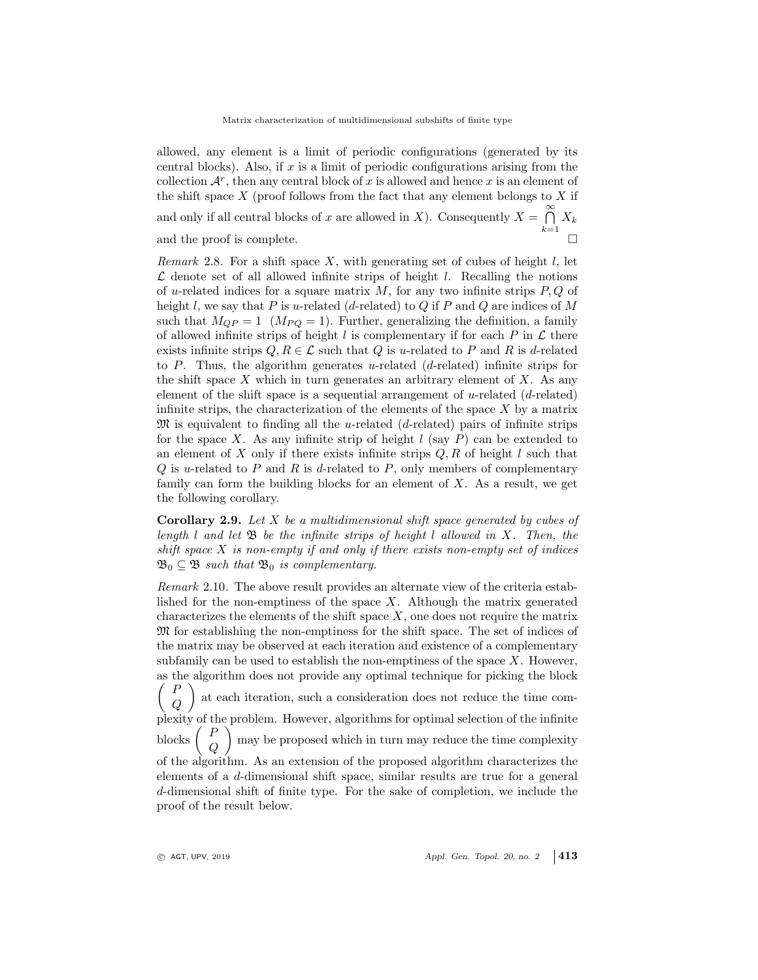allowed, any element is a limit of periodic configurations (generated by its central blocks). Also, if x is a limit of periodic configurations arising from the collection  $\mathcal{A}^r$ , then any central block of x is allowed and hence x is an element of the shift space  $X$  (proof follows from the fact that any element belongs to  $X$  if and only if all central blocks of x are allowed in X). Consequently  $X = \bigcap_{n=1}^{\infty} X$  $\bigcap_{k=1} X_k$ and the proof is complete.

Remark 2.8. For a shift space X, with generating set of cubes of height  $l$ , let  $\mathcal L$  denote set of all allowed infinite strips of height l. Recalling the notions of u-related indices for a square matrix  $M$ , for any two infinite strips  $P, Q$  of height l, we say that P is u-related (d-related) to Q if P and Q are indices of M such that  $M_{QP} = 1$  ( $M_{PQ} = 1$ ). Further, generalizing the definition, a family of allowed infinite strips of height l is complementary if for each P in  $\mathcal L$  there exists infinite strips  $Q, R \in \mathcal{L}$  such that  $Q$  is u-related to P and R is d-related to P. Thus, the algorithm generates u-related  $(d$ -related) infinite strips for the shift space  $X$  which in turn generates an arbitrary element of  $X$ . As any element of the shift space is a sequential arrangement of u-related  $(d$ -related) infinite strips, the characterization of the elements of the space  $X$  by a matrix  $\mathfrak{M}$  is equivalent to finding all the u-related (d-related) pairs of infinite strips for the space X. As any infinite strip of height  $l$  (say P) can be extended to an element of X only if there exists infinite strips  $Q, R$  of height l such that  $Q$  is u-related to  $P$  and  $R$  is d-related to  $P$ , only members of complementary family can form the building blocks for an element of  $X$ . As a result, we get the following corollary.

**Corollary 2.9.** Let  $X$  be a multidimensional shift space generated by cubes of length l and let  $\mathfrak B$  be the infinite strips of height l allowed in X. Then, the shift space  $X$  is non-empty if and only if there exists non-empty set of indices  $\mathfrak{B}_0 \subseteq \mathfrak{B}$  such that  $\mathfrak{B}_0$  is complementary.

Remark 2.10. The above result provides an alternate view of the criteria established for the non-emptiness of the space  $X$ . Although the matrix generated characterizes the elements of the shift space  $X$ , one does not require the matrix M for establishing the non-emptiness for the shift space. The set of indices of the matrix may be observed at each iteration and existence of a complementary subfamily can be used to establish the non-emptiness of the space  $X$ . However, as the algorithm does not provide any optimal technique for picking the block  $\sqrt{ }$ P  $\it{Q}$  $\setminus$ at each iteration, such a consideration does not reduce the time complexity of the problem. However, algorithms for optimal selection of the infinite blocks  $\begin{pmatrix} P \\ C \end{pmatrix}$  $\it{Q}$  may be proposed which in turn may reduce the time complexity of the algorithm. As an extension of the proposed algorithm characterizes the elements of a d-dimensional shift space, similar results are true for a general d-dimensional shift of finite type. For the sake of completion, we include the proof of the result below.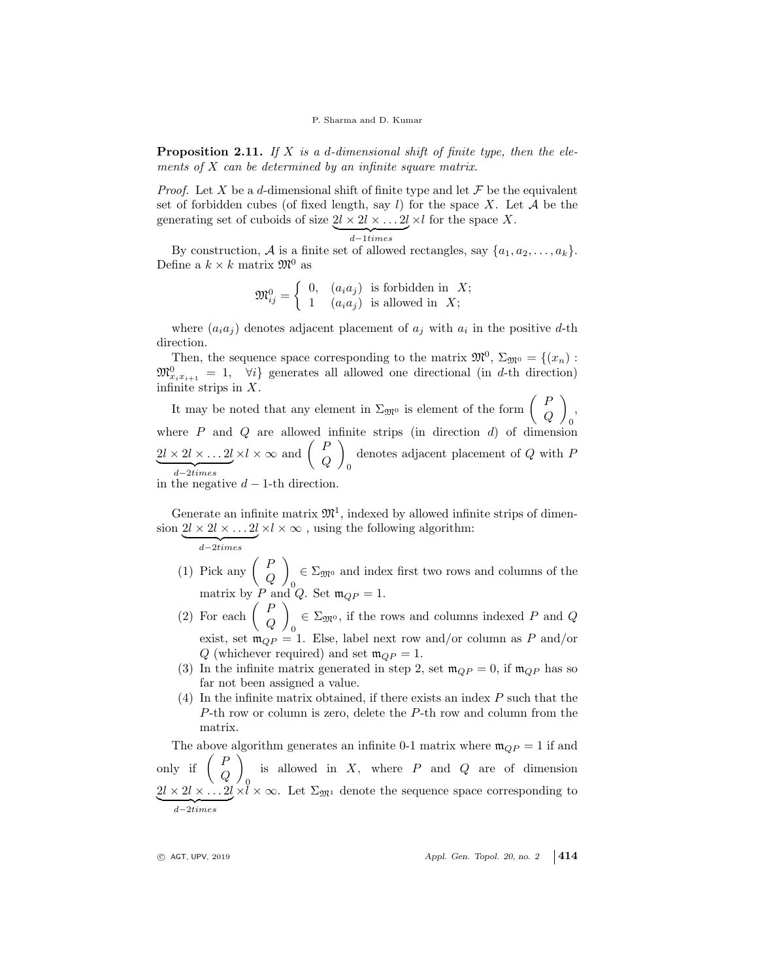**Proposition 2.11.** If X is a d-dimensional shift of finite type, then the elements of  $X$  can be determined by an infinite square matrix.

*Proof.* Let X be a d-dimensional shift of finite type and let  $\mathcal F$  be the equivalent set of forbidden cubes (of fixed length, say l) for the space X. Let  $A$  be the generating set of cuboids of size  $2l \times 2l \times ... 2l \times l$  for the space X.

$$
d-1 \, times
$$

By construction, A is a finite set of allowed rectangles, say  $\{a_1, a_2, \ldots, a_k\}$ . Define a  $k \times k$  matrix  $\mathfrak{M}^0$  as

$$
\mathfrak{M}_{ij}^0 = \left\{ \begin{array}{ll} 0, & (a_i a_j) \text{ is forbidden in } X; \\ 1 & (a_i a_j) \text{ is allowed in } X; \end{array} \right.
$$

where  $(a_i a_j)$  denotes adjacent placement of  $a_j$  with  $a_i$  in the positive d-th direction.

Then, the sequence space corresponding to the matrix  $\mathfrak{M}^0$ ,  $\Sigma_{\mathfrak{M}^0} = \{(x_n) :$  $\mathfrak{M}^0_{x_ix_{i+1}} = 1$ ,  $\forall i$  generates all allowed one directional (in d-th direction) infinite strips in  $X$ .

It may be noted that any element in  $\Sigma_{\mathfrak{M}^0}$  is element of the form  $\begin{pmatrix} P \\ C \end{pmatrix}$  $\it{Q}$  $\setminus$ 0 , where  $P$  and  $Q$  are allowed infinite strips (in direction  $d$ ) of dimension  $2l \times 2l \times \ldots 2l$  $\overline{d}$   $\rightarrow$   $\overline{d}$   $\rightarrow$   $\overline{d}$   $\rightarrow$   $\overline{d}$   $\rightarrow$   $\overline{d}$   $\rightarrow$   $\overline{d}$   $\rightarrow$   $\overline{d}$   $\rightarrow$   $\overline{d}$   $\rightarrow$   $\overline{d}$   $\rightarrow$   $\overline{d}$   $\rightarrow$   $\overline{d}$   $\rightarrow$   $\overline{d}$   $\rightarrow$   $\overline{d}$   $\rightarrow$   $\overline{d}$   $\rightarrow$   $\overline{d}$   $\rightarrow$   $\overline{d}$   $\$ d−2times  $\times l \times \infty$  and  $\begin{pmatrix} P \\ C \end{pmatrix}$  $\it{Q}$  $\setminus$ 0 denotes adjacent placement of Q with P in the negative  $d-1$ -th direction.

Generate an infinite matrix  $\mathfrak{M}^1$ , indexed by allowed infinite strips of dimension  $2l \times 2l \times ... 2l \times l \times \infty$ , using the following algorithm:

$$
\overbrace{d{-}2times}
$$

- (1) Pick any  $\begin{pmatrix} P \\ C \end{pmatrix}$  $\it{Q}$  $\setminus$ 0  $\epsilon \Sigma_{\mathfrak{M}^0}$  and index first two rows and columns of the matrix by P and Q. Set  $\mathfrak{m}_{QP} = 1$ .
- (2) For each  $\begin{pmatrix} P \\ C \end{pmatrix}$  $\it{Q}$  $\setminus$ 0  $\in \Sigma_{\mathfrak{M}^0}$ , if the rows and columns indexed P and Q exist, set  $m_{QP} = 1$ . Else, label next row and/or column as P and/or Q (whichever required) and set  $\mathfrak{m}_{QP} = 1$ .
- (3) In the infinite matrix generated in step 2, set  $\mathfrak{m}_{QP} = 0$ , if  $\mathfrak{m}_{QP}$  has so far not been assigned a value.
- (4) In the infinite matrix obtained, if there exists an index  $P$  such that the P-th row or column is zero, delete the P-th row and column from the matrix.

The above algorithm generates an infinite 0-1 matrix where  $\mathfrak{m}_{QP} = 1$  if and only if  $\begin{pmatrix} P \\ C \end{pmatrix}$  $\it{Q}$  $\setminus$  $\overline{0}$ is allowed in  $X$ , where  $P$  and  $Q$  are of dimension  $2l \times 2l \times \ldots 2l$  $\overline{d-2 \times i \times n}$ d−2times  $\times$ l  $\times$   $\infty$ . Let  $\Sigma_{\mathfrak{M}^1}$  denote the sequence space corresponding to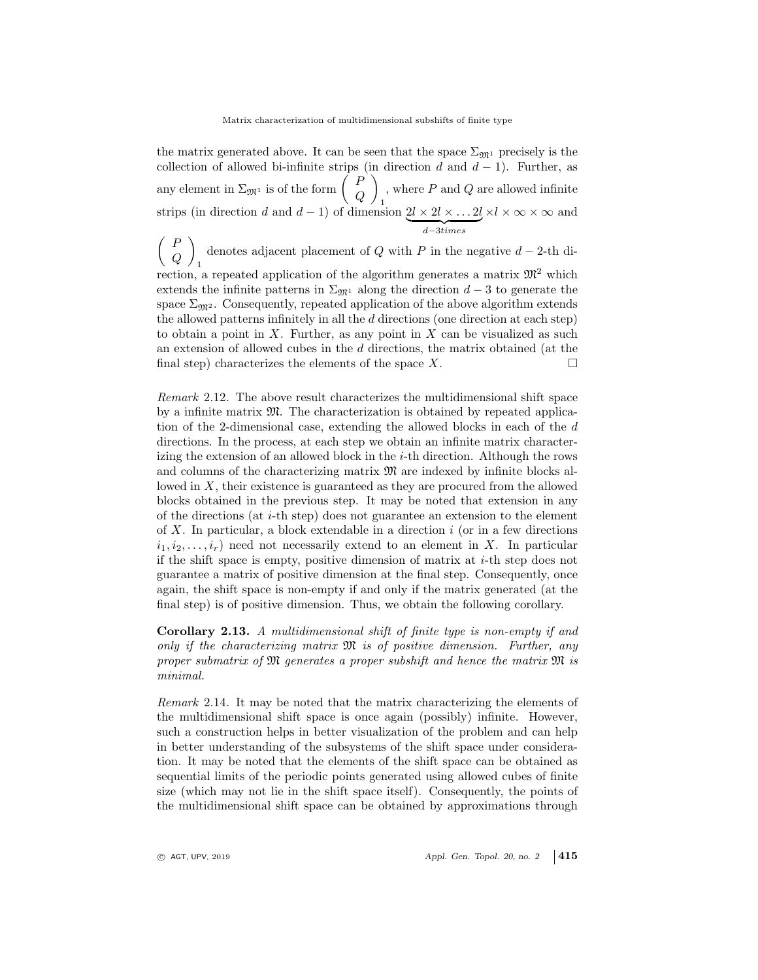the matrix generated above. It can be seen that the space  $\Sigma_{\mathfrak{M}^1}$  precisely is the collection of allowed bi-infinite strips (in direction d and  $d-1$ ). Further, as any element in  $\Sigma_{\mathfrak{M}^1}$  is of the form  $\begin{pmatrix} P \\ C \end{pmatrix}$  $\it{Q}$  $\setminus$ 1 , where  $P$  and  $Q$  are allowed infinite strips (in direction d and  $d-1$ ) of dimension  $2l \times 2l \times \ldots 2l$  $d-3times$  $\times l \times \infty \times \infty$  and

 $\left($  F  $\it{Q}$ denotes adjacent placement of Q with P in the negative  $d-2$ -th divection, a repeated application of the algorithm generates a matrix  $\mathfrak{M}^2$  which extends the infinite patterns in  $\Sigma_{\mathfrak{M}^1}$  along the direction  $d-3$  to generate the space  $\Sigma_{\mathfrak{M}^2}$ . Consequently, repeated application of the above algorithm extends the allowed patterns infinitely in all the  $d$  directions (one direction at each step) to obtain a point in  $X$ . Further, as any point in  $X$  can be visualized as such an extension of allowed cubes in the d directions, the matrix obtained (at the final step) characterizes the elements of the space  $X$ .

Remark 2.12. The above result characterizes the multidimensional shift space by a infinite matrix  $\mathfrak{M}$ . The characterization is obtained by repeated application of the 2-dimensional case, extending the allowed blocks in each of the d directions. In the process, at each step we obtain an infinite matrix characterizing the extension of an allowed block in the  $i$ -th direction. Although the rows and columns of the characterizing matrix  $\mathfrak{M}$  are indexed by infinite blocks allowed in X, their existence is guaranteed as they are procured from the allowed blocks obtained in the previous step. It may be noted that extension in any of the directions (at i-th step) does not guarantee an extension to the element of  $X$ . In particular, a block extendable in a direction  $i$  (or in a few directions  $i_1, i_2, \ldots, i_r$  need not necessarily extend to an element in X. In particular if the shift space is empty, positive dimension of matrix at  $i$ -th step does not guarantee a matrix of positive dimension at the final step. Consequently, once again, the shift space is non-empty if and only if the matrix generated (at the final step) is of positive dimension. Thus, we obtain the following corollary.

Corollary 2.13. A multidimensional shift of finite type is non-empty if and only if the characterizing matrix  $\mathfrak{M}$  is of positive dimension. Further, any proper submatrix of  $\mathfrak M$  generates a proper subshift and hence the matrix  $\mathfrak M$  is minimal.

Remark 2.14. It may be noted that the matrix characterizing the elements of the multidimensional shift space is once again (possibly) infinite. However, such a construction helps in better visualization of the problem and can help in better understanding of the subsystems of the shift space under consideration. It may be noted that the elements of the shift space can be obtained as sequential limits of the periodic points generated using allowed cubes of finite size (which may not lie in the shift space itself). Consequently, the points of the multidimensional shift space can be obtained by approximations through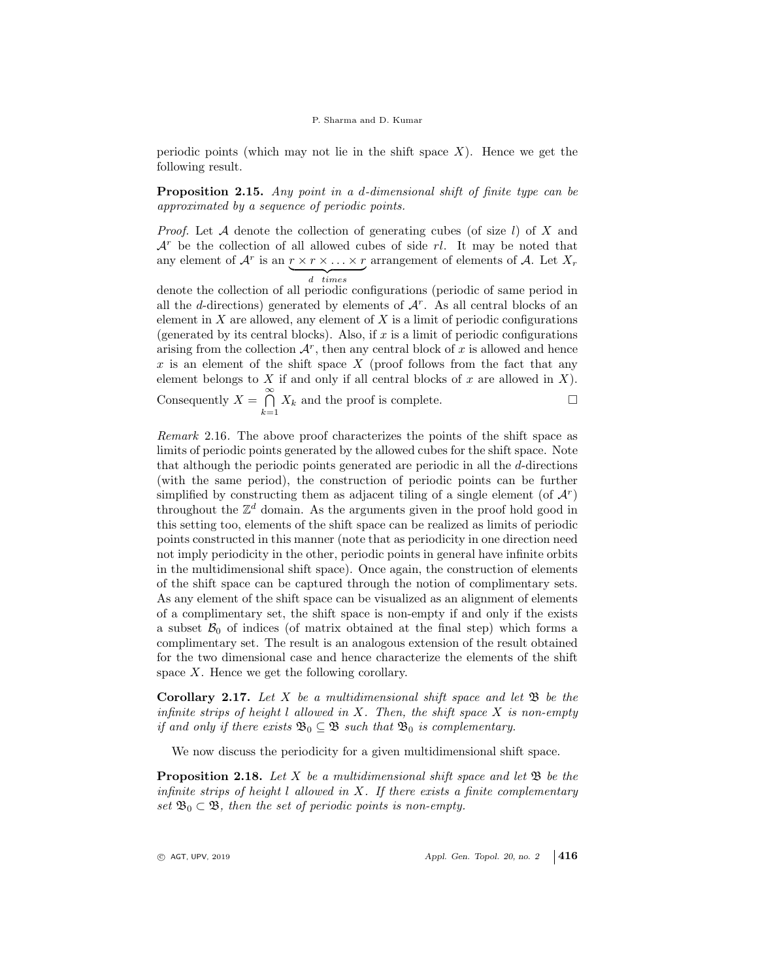#### P. Sharma and D. Kumar

periodic points (which may not lie in the shift space  $X$ ). Hence we get the following result.

Proposition 2.15. Any point in a d-dimensional shift of finite type can be approximated by a sequence of periodic points.

*Proof.* Let  $A$  denote the collection of generating cubes (of size  $l$ ) of  $X$  and  $\mathcal{A}^r$  be the collection of all allowed cubes of side rl. It may be noted that any element of  $\mathcal{A}^r$  is an  $r \times r \times \ldots \times r$  ${d}$  times arrangement of elements of  $A$ . Let  $X_r$ 

denote the collection of all periodic configurations (periodic of same period in all the d-directions) generated by elements of  $A<sup>r</sup>$ . As all central blocks of an element in  $X$  are allowed, any element of  $X$  is a limit of periodic configurations (generated by its central blocks). Also, if  $x$  is a limit of periodic configurations arising from the collection  $\mathcal{A}^r$ , then any central block of x is allowed and hence x is an element of the shift space  $X$  (proof follows from the fact that any element belongs to  $X$  if and only if all central blocks of  $x$  are allowed in  $X$ ). Consequently  $X = \bigcap^{\infty}$  $\bigcap_{k=1}^{\infty} X_k$  and the proof is complete.

Remark 2.16. The above proof characterizes the points of the shift space as limits of periodic points generated by the allowed cubes for the shift space. Note that although the periodic points generated are periodic in all the  $d$ -directions (with the same period), the construction of periodic points can be further simplified by constructing them as adjacent tiling of a single element (of  $\mathcal{A}^r$ ) throughout the  $\mathbb{Z}^d$  domain. As the arguments given in the proof hold good in this setting too, elements of the shift space can be realized as limits of periodic points constructed in this manner (note that as periodicity in one direction need not imply periodicity in the other, periodic points in general have infinite orbits in the multidimensional shift space). Once again, the construction of elements of the shift space can be captured through the notion of complimentary sets. As any element of the shift space can be visualized as an alignment of elements of a complimentary set, the shift space is non-empty if and only if the exists a subset  $\mathcal{B}_0$  of indices (of matrix obtained at the final step) which forms a complimentary set. The result is an analogous extension of the result obtained for the two dimensional case and hence characterize the elements of the shift space  $X$ . Hence we get the following corollary.

**Corollary 2.17.** Let X be a multidimensional shift space and let  $\mathfrak{B}$  be the infinite strips of height  $l$  allowed in  $X$ . Then, the shift space  $X$  is non-empty if and only if there exists  $\mathfrak{B}_0 \subseteq \mathfrak{B}$  such that  $\mathfrak{B}_0$  is complementary.

We now discuss the periodicity for a given multidimensional shift space.

**Proposition 2.18.** Let X be a multidimensional shift space and let  $\mathfrak{B}$  be the infinite strips of height  $l$  allowed in  $X$ . If there exists a finite complementary set  $\mathfrak{B}_0 \subset \mathfrak{B}$ , then the set of periodic points is non-empty.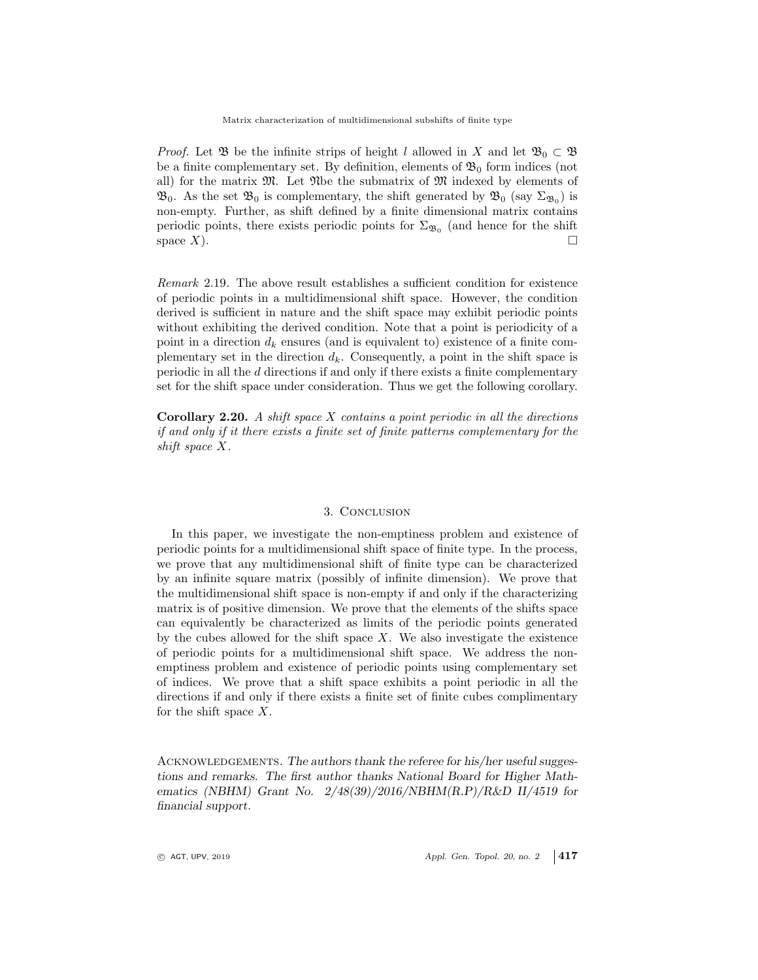*Proof.* Let  $\mathfrak{B}$  be the infinite strips of height l allowed in X and let  $\mathfrak{B}_0 \subset \mathfrak{B}$ be a finite complementary set. By definition, elements of  $\mathfrak{B}_0$  form indices (not all) for the matrix  $\mathfrak{M}$ . Let  $\mathfrak{N}$ be the submatrix of  $\mathfrak{M}$  indexed by elements of  $\mathfrak{B}_0$ . As the set  $\mathfrak{B}_0$  is complementary, the shift generated by  $\mathfrak{B}_0$  (say  $\Sigma_{\mathfrak{B}_0}$ ) is non-empty. Further, as shift defined by a finite dimensional matrix contains periodic points, there exists periodic points for  $\Sigma_{\mathfrak{B}_0}$  (and hence for the shift space X).

Remark 2.19. The above result establishes a sufficient condition for existence of periodic points in a multidimensional shift space. However, the condition derived is sufficient in nature and the shift space may exhibit periodic points without exhibiting the derived condition. Note that a point is periodicity of a point in a direction  $d_k$  ensures (and is equivalent to) existence of a finite complementary set in the direction  $d_k$ . Consequently, a point in the shift space is periodic in all the d directions if and only if there exists a finite complementary set for the shift space under consideration. Thus we get the following corollary.

**Corollary 2.20.** A shift space  $X$  contains a point periodic in all the directions if and only if it there exists a finite set of finite patterns complementary for the shift space X.

#### 3. Conclusion

In this paper, we investigate the non-emptiness problem and existence of periodic points for a multidimensional shift space of finite type. In the process, we prove that any multidimensional shift of finite type can be characterized by an infinite square matrix (possibly of infinite dimension). We prove that the multidimensional shift space is non-empty if and only if the characterizing matrix is of positive dimension. We prove that the elements of the shifts space can equivalently be characterized as limits of the periodic points generated by the cubes allowed for the shift space  $X$ . We also investigate the existence of periodic points for a multidimensional shift space. We address the nonemptiness problem and existence of periodic points using complementary set of indices. We prove that a shift space exhibits a point periodic in all the directions if and only if there exists a finite set of finite cubes complimentary for the shift space  $X$ .

ACKNOWLEDGEMENTS. The authors thank the referee for his/her useful suggestions and remarks. The first author thanks National Board for Higher Mathematics (NBHM) Grant No. 2/48(39)/2016/NBHM(R.P)/R&D II/4519 for financial support.

 $\circ$  AGT, UPV, 2019  $\circ$  Appl. Gen. Topol. 20, no. 2 417